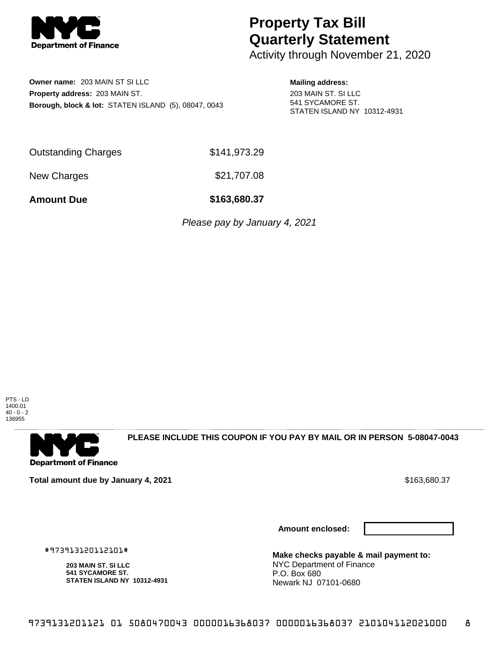

# **Property Tax Bill Quarterly Statement**

Activity through November 21, 2020

## **Owner name:** 203 MAIN ST SI LLC **Property address:** 203 MAIN ST. **Borough, block & lot:** STATEN ISLAND (5), 08047, 0043

### **Mailing address:**

203 MAIN ST. SI LLC 541 SYCAMORE ST. STATEN ISLAND NY 10312-4931

Outstanding Charges \$141,973.29

New Charges \$21,707.08

**Amount Due \$163,680.37**

Please pay by January 4, 2021





**PLEASE INCLUDE THIS COUPON IF YOU PAY BY MAIL OR IN PERSON 5-08047-0043** 

**Total amount due by January 4, 2021 \$163,680.37** \$163,680.37

#973913120112101#

**203 MAIN ST. SI LLC 541 SYCAMORE ST.**

**STATEN ISLAND NY 10312-4931**

**Amount enclosed:**



**Make checks payable & mail payment to:** NYC Department of Finance P.O. Box 680 Newark NJ 07101-0680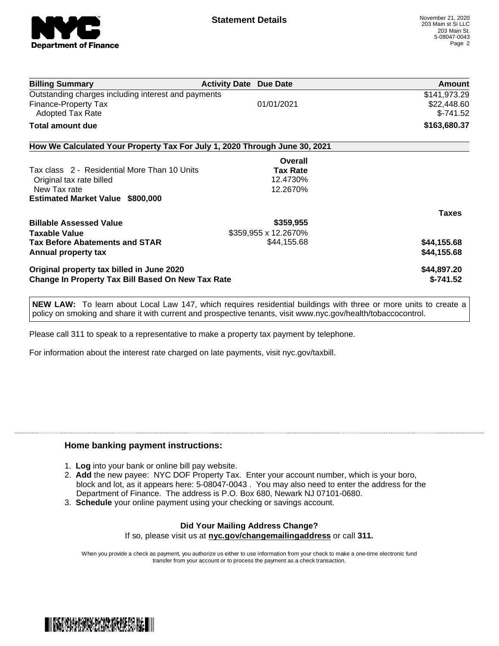

| <b>Billing Summary</b>                                                     | <b>Activity Date Due Date</b> | <b>Amount</b> |
|----------------------------------------------------------------------------|-------------------------------|---------------|
| Outstanding charges including interest and payments                        |                               | \$141,973.29  |
| Finance-Property Tax                                                       | 01/01/2021                    | \$22,448.60   |
| Adopted Tax Rate                                                           |                               | $$-741.52$    |
| <b>Total amount due</b>                                                    |                               | \$163,680.37  |
| How We Calculated Your Property Tax For July 1, 2020 Through June 30, 2021 |                               |               |
|                                                                            | Overall                       |               |
| Tax class 2 - Residential More Than 10 Units                               | <b>Tax Rate</b>               |               |
| Original tax rate billed                                                   | 12.4730%                      |               |
| New Tax rate                                                               | 12.2670%                      |               |
| <b>Estimated Market Value \$800,000</b>                                    |                               |               |
|                                                                            |                               | <b>Taxes</b>  |
| <b>Billable Assessed Value</b>                                             | \$359,955                     |               |
| <b>Taxable Value</b>                                                       | \$359,955 x 12.2670%          |               |
| <b>Tax Before Abatements and STAR</b>                                      | \$44,155.68                   | \$44,155.68   |
| Annual property tax                                                        |                               | \$44,155.68   |
| Original property tax billed in June 2020                                  |                               | \$44,897.20   |
| <b>Change In Property Tax Bill Based On New Tax Rate</b>                   |                               | $$-741.52$    |

**NEW LAW:** To learn about Local Law 147, which requires residential buildings with three or more units to create a policy on smoking and share it with current and prospective tenants, visit www.nyc.gov/health/tobaccocontrol.

Please call 311 to speak to a representative to make a property tax payment by telephone.

For information about the interest rate charged on late payments, visit nyc.gov/taxbill.

### **Home banking payment instructions:**

- 1. **Log** into your bank or online bill pay website.
- 2. **Add** the new payee: NYC DOF Property Tax. Enter your account number, which is your boro, block and lot, as it appears here: 5-08047-0043 . You may also need to enter the address for the Department of Finance. The address is P.O. Box 680, Newark NJ 07101-0680.
- 3. **Schedule** your online payment using your checking or savings account.

#### **Did Your Mailing Address Change?** If so, please visit us at **nyc.gov/changemailingaddress** or call **311.**

When you provide a check as payment, you authorize us either to use information from your check to make a one-time electronic fund transfer from your account or to process the payment as a check transaction.